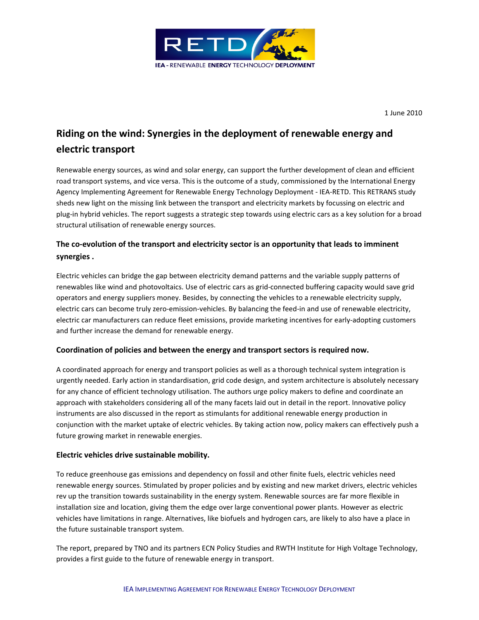

1 June 2010

# Riding on the wind: Synergies in the deployment of renewable energy and electric transport

Renewable energy sources, as wind and solar energy, can support the further development of clean and efficient road transport systems, and vice versa. This is the outcome of a study, commissioned by the International Energy Agency Implementing Agreement for Renewable Energy Technology Deployment - IEA-RETD. This RETRANS study sheds new light on the missing link between the transport and electricity markets by focussing on electric and plug-in hybrid vehicles. The report suggests a strategic step towards using electric cars as a key solution for a broad structural utilisation of renewable energy sources.

# The co-evolution of the transport and electricity sector is an opportunity that leads to imminent synergies .

Electric vehicles can bridge the gap between electricity demand patterns and the variable supply patterns of renewables like wind and photovoltaics. Use of electric cars as grid-connected buffering capacity would save grid operators and energy suppliers money. Besides, by connecting the vehicles to a renewable electricity supply, electric cars can become truly zero-emission-vehicles. By balancing the feed-in and use of renewable electricity, electric car manufacturers can reduce fleet emissions, provide marketing incentives for early-adopting customers and further increase the demand for renewable energy.

## Coordination of policies and between the energy and transport sectors is required now.

A coordinated approach for energy and transport policies as well as a thorough technical system integration is urgently needed. Early action in standardisation, grid code design, and system architecture is absolutely necessary for any chance of efficient technology utilisation. The authors urge policy makers to define and coordinate an approach with stakeholders considering all of the many facets laid out in detail in the report. Innovative policy instruments are also discussed in the report as stimulants for additional renewable energy production in conjunction with the market uptake of electric vehicles. By taking action now, policy makers can effectively push a future growing market in renewable energies.

## Electric vehicles drive sustainable mobility.

To reduce greenhouse gas emissions and dependency on fossil and other finite fuels, electric vehicles need renewable energy sources. Stimulated by proper policies and by existing and new market drivers, electric vehicles rev up the transition towards sustainability in the energy system. Renewable sources are far more flexible in installation size and location, giving them the edge over large conventional power plants. However as electric vehicles have limitations in range. Alternatives, like biofuels and hydrogen cars, are likely to also have a place in the future sustainable transport system.

The report, prepared by TNO and its partners ECN Policy Studies and RWTH Institute for High Voltage Technology, provides a first guide to the future of renewable energy in transport.